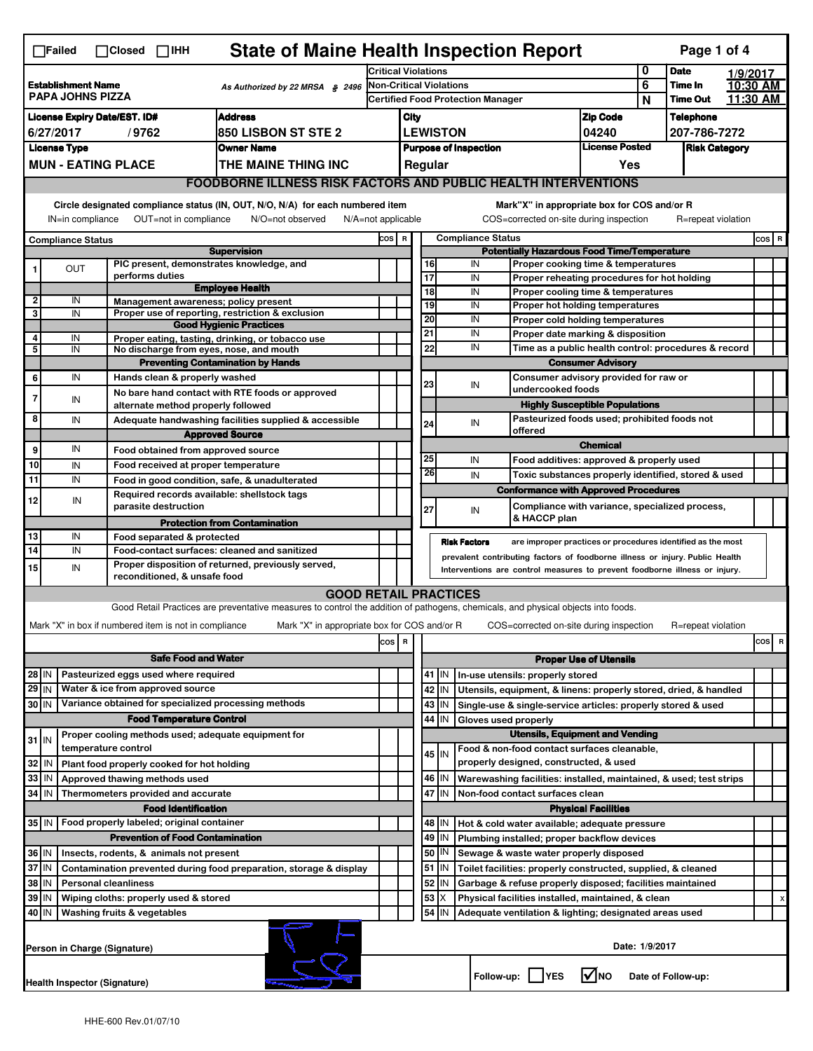| <b>State of Maine Health Inspection Report</b><br>Page 1 of 4<br>$\Box$ Failed<br>$\Box$ Closed $\Box$ IHH                                                                                             |                                                                                                              |  |                                                       |                                                                                                                                   |                                                                                         |                                                       |                                                                                                   |                                                                                                                                                            |                                                                 |                                                                    |                                                                                       |                 |                 |                                  |          |  |
|--------------------------------------------------------------------------------------------------------------------------------------------------------------------------------------------------------|--------------------------------------------------------------------------------------------------------------|--|-------------------------------------------------------|-----------------------------------------------------------------------------------------------------------------------------------|-----------------------------------------------------------------------------------------|-------------------------------------------------------|---------------------------------------------------------------------------------------------------|------------------------------------------------------------------------------------------------------------------------------------------------------------|-----------------------------------------------------------------|--------------------------------------------------------------------|---------------------------------------------------------------------------------------|-----------------|-----------------|----------------------------------|----------|--|
|                                                                                                                                                                                                        |                                                                                                              |  | <b>Critical Violations</b>                            |                                                                                                                                   |                                                                                         |                                                       |                                                                                                   | 0<br><b>Date</b>                                                                                                                                           |                                                                 |                                                                    | 1/9/2017                                                                              |                 |                 |                                  |          |  |
| <b>Establishment Name</b><br><b>PAPA JOHNS PIZZA</b>                                                                                                                                                   |                                                                                                              |  | As Authorized by 22 MRSA § 2496                       | <b>Non-Critical Violations</b>                                                                                                    |                                                                                         |                                                       |                                                                                                   |                                                                                                                                                            |                                                                 | 6                                                                  | Time In                                                                               |                 | 10:30 AM        |                                  |          |  |
|                                                                                                                                                                                                        |                                                                                                              |  |                                                       |                                                                                                                                   | <b>Certified Food Protection Manager</b>                                                |                                                       |                                                                                                   |                                                                                                                                                            |                                                                 |                                                                    |                                                                                       | N               | <b>Time Out</b> |                                  | 11:30 AM |  |
| <b>Address</b><br><b>License Expiry Date/EST. ID#</b><br><b>850 LISBON ST STE 2</b><br>6/27/2017<br>/9762                                                                                              |                                                                                                              |  |                                                       |                                                                                                                                   |                                                                                         | City<br><b>LEWISTON</b>                               |                                                                                                   |                                                                                                                                                            |                                                                 | <b>Zip Code</b>                                                    |                                                                                       | 04240           |                 | <b>Telephone</b><br>207-786-7272 |          |  |
| <b>License Type</b><br><b>Owner Name</b>                                                                                                                                                               |                                                                                                              |  |                                                       |                                                                                                                                   |                                                                                         | <b>License Posted</b><br><b>Purpose of Inspection</b> |                                                                                                   |                                                                                                                                                            |                                                                 | <b>Risk Category</b>                                               |                                                                                       |                 |                 |                                  |          |  |
| <b>MUN - EATING PLACE</b><br>THE MAINE THING INC                                                                                                                                                       |                                                                                                              |  |                                                       |                                                                                                                                   |                                                                                         | Regular<br>Yes                                        |                                                                                                   |                                                                                                                                                            |                                                                 |                                                                    |                                                                                       |                 |                 |                                  |          |  |
|                                                                                                                                                                                                        |                                                                                                              |  |                                                       |                                                                                                                                   |                                                                                         |                                                       |                                                                                                   |                                                                                                                                                            |                                                                 |                                                                    |                                                                                       |                 |                 |                                  |          |  |
| <b>FOODBORNE ILLNESS RISK FACTORS AND PUBLIC HEALTH INTERVENTIONS</b><br>Circle designated compliance status (IN, OUT, N/O, N/A) for each numbered item<br>Mark"X" in appropriate box for COS and/or R |                                                                                                              |  |                                                       |                                                                                                                                   |                                                                                         |                                                       |                                                                                                   |                                                                                                                                                            |                                                                 |                                                                    |                                                                                       |                 |                 |                                  |          |  |
|                                                                                                                                                                                                        | OUT=not in compliance<br>IN=in compliance<br>N/O=not observed<br>$N/A = not$ applicable                      |  |                                                       |                                                                                                                                   |                                                                                         |                                                       |                                                                                                   |                                                                                                                                                            |                                                                 |                                                                    | COS=corrected on-site during inspection                                               |                 |                 | R=repeat violation               |          |  |
|                                                                                                                                                                                                        | <b>Compliance Status</b>                                                                                     |  |                                                       | <b>Supervision</b>                                                                                                                | <b>Compliance Status</b><br>COS R<br><b>Potentially Hazardous Food Time/Temperature</b> |                                                       |                                                                                                   |                                                                                                                                                            |                                                                 |                                                                    |                                                                                       |                 | COS R           |                                  |          |  |
|                                                                                                                                                                                                        | OUT                                                                                                          |  |                                                       | PIC present, demonstrates knowledge, and                                                                                          |                                                                                         |                                                       |                                                                                                   | 16                                                                                                                                                         |                                                                 | IN                                                                 | Proper cooking time & temperatures                                                    |                 |                 |                                  |          |  |
|                                                                                                                                                                                                        |                                                                                                              |  | performs duties                                       |                                                                                                                                   |                                                                                         |                                                       |                                                                                                   | 17                                                                                                                                                         |                                                                 | IN                                                                 | Proper reheating procedures for hot holding                                           |                 |                 |                                  |          |  |
| 2                                                                                                                                                                                                      | IN                                                                                                           |  |                                                       | <b>Employee Health</b><br>Management awareness; policy present                                                                    |                                                                                         |                                                       |                                                                                                   | 18                                                                                                                                                         |                                                                 | IN                                                                 | Proper cooling time & temperatures                                                    |                 |                 |                                  |          |  |
| 3                                                                                                                                                                                                      | IN                                                                                                           |  |                                                       | Proper use of reporting, restriction & exclusion                                                                                  |                                                                                         |                                                       |                                                                                                   | 19<br>20                                                                                                                                                   |                                                                 | IN<br>IN                                                           | Proper hot holding temperatures                                                       |                 |                 |                                  |          |  |
|                                                                                                                                                                                                        |                                                                                                              |  |                                                       | <b>Good Hygienic Practices</b>                                                                                                    |                                                                                         |                                                       |                                                                                                   | 21                                                                                                                                                         |                                                                 | IN                                                                 | Proper cold holding temperatures<br>Proper date marking & disposition                 |                 |                 |                                  |          |  |
| 4<br>5                                                                                                                                                                                                 | IN<br>IN                                                                                                     |  |                                                       | Proper eating, tasting, drinking, or tobacco use<br>No discharge from eyes, nose, and mouth                                       |                                                                                         |                                                       |                                                                                                   | 22                                                                                                                                                         |                                                                 | IN                                                                 | Time as a public health control: procedures & record                                  |                 |                 |                                  |          |  |
|                                                                                                                                                                                                        |                                                                                                              |  |                                                       | <b>Preventing Contamination by Hands</b>                                                                                          |                                                                                         |                                                       |                                                                                                   |                                                                                                                                                            |                                                                 |                                                                    | <b>Consumer Advisory</b>                                                              |                 |                 |                                  |          |  |
| 6                                                                                                                                                                                                      | IN                                                                                                           |  | Hands clean & properly washed                         |                                                                                                                                   |                                                                                         |                                                       |                                                                                                   | 23                                                                                                                                                         |                                                                 | IN                                                                 | Consumer advisory provided for raw or                                                 |                 |                 |                                  |          |  |
| 7                                                                                                                                                                                                      | IN                                                                                                           |  |                                                       | No bare hand contact with RTE foods or approved                                                                                   |                                                                                         |                                                       |                                                                                                   |                                                                                                                                                            |                                                                 |                                                                    | undercooked foods                                                                     |                 |                 |                                  |          |  |
| 8                                                                                                                                                                                                      | IN                                                                                                           |  | alternate method properly followed                    |                                                                                                                                   |                                                                                         |                                                       |                                                                                                   |                                                                                                                                                            |                                                                 |                                                                    | <b>Highly Susceptible Populations</b><br>Pasteurized foods used; prohibited foods not |                 |                 |                                  |          |  |
|                                                                                                                                                                                                        |                                                                                                              |  |                                                       | Adequate handwashing facilities supplied & accessible<br><b>Approved Source</b>                                                   |                                                                                         |                                                       |                                                                                                   | 24                                                                                                                                                         |                                                                 | IN                                                                 | offered                                                                               |                 |                 |                                  |          |  |
| 9                                                                                                                                                                                                      | IN                                                                                                           |  | Food obtained from approved source                    |                                                                                                                                   |                                                                                         |                                                       |                                                                                                   |                                                                                                                                                            |                                                                 |                                                                    |                                                                                       | <b>Chemical</b> |                 |                                  |          |  |
| 10                                                                                                                                                                                                     | IN                                                                                                           |  | Food received at proper temperature                   |                                                                                                                                   |                                                                                         |                                                       |                                                                                                   | 25                                                                                                                                                         |                                                                 | IN                                                                 | Food additives: approved & properly used                                              |                 |                 |                                  |          |  |
| 11                                                                                                                                                                                                     | IN                                                                                                           |  |                                                       | Food in good condition, safe, & unadulterated                                                                                     |                                                                                         |                                                       |                                                                                                   | 26                                                                                                                                                         |                                                                 | IN                                                                 | Toxic substances properly identified, stored & used                                   |                 |                 |                                  |          |  |
| 12                                                                                                                                                                                                     | IN                                                                                                           |  |                                                       | Required records available: shellstock tags                                                                                       |                                                                                         |                                                       |                                                                                                   |                                                                                                                                                            |                                                                 |                                                                    | <b>Conformance with Approved Procedures</b>                                           |                 |                 |                                  |          |  |
|                                                                                                                                                                                                        |                                                                                                              |  | parasite destruction                                  |                                                                                                                                   |                                                                                         |                                                       |                                                                                                   | 27                                                                                                                                                         |                                                                 | IN                                                                 | Compliance with variance, specialized process,<br>& HACCP plan                        |                 |                 |                                  |          |  |
|                                                                                                                                                                                                        | IN                                                                                                           |  |                                                       | <b>Protection from Contamination</b>                                                                                              |                                                                                         |                                                       |                                                                                                   |                                                                                                                                                            |                                                                 |                                                                    |                                                                                       |                 |                 |                                  |          |  |
| 13<br>$\overline{14}$                                                                                                                                                                                  | IN                                                                                                           |  | Food separated & protected                            | Food-contact surfaces: cleaned and sanitized                                                                                      |                                                                                         |                                                       |                                                                                                   |                                                                                                                                                            | <b>Risk Factors</b>                                             |                                                                    | are improper practices or procedures identified as the most                           |                 |                 |                                  |          |  |
| 15                                                                                                                                                                                                     | IN                                                                                                           |  |                                                       | Proper disposition of returned, previously served,                                                                                |                                                                                         |                                                       |                                                                                                   | prevalent contributing factors of foodborne illness or injury. Public Health<br>Interventions are control measures to prevent foodborne illness or injury. |                                                                 |                                                                    |                                                                                       |                 |                 |                                  |          |  |
|                                                                                                                                                                                                        |                                                                                                              |  | reconditioned, & unsafe food                          |                                                                                                                                   |                                                                                         |                                                       |                                                                                                   |                                                                                                                                                            |                                                                 |                                                                    |                                                                                       |                 |                 |                                  |          |  |
|                                                                                                                                                                                                        |                                                                                                              |  |                                                       | <b>GOOD RETAIL PRACTICES</b>                                                                                                      |                                                                                         |                                                       |                                                                                                   |                                                                                                                                                            |                                                                 |                                                                    |                                                                                       |                 |                 |                                  |          |  |
|                                                                                                                                                                                                        |                                                                                                              |  |                                                       | Good Retail Practices are preventative measures to control the addition of pathogens, chemicals, and physical objects into foods. |                                                                                         |                                                       |                                                                                                   |                                                                                                                                                            |                                                                 |                                                                    |                                                                                       |                 |                 |                                  |          |  |
|                                                                                                                                                                                                        |                                                                                                              |  | Mark "X" in box if numbered item is not in compliance | Mark "X" in appropriate box for COS and/or R                                                                                      |                                                                                         |                                                       |                                                                                                   |                                                                                                                                                            |                                                                 |                                                                    | COS=corrected on-site during inspection                                               |                 |                 | R=repeat violation               |          |  |
|                                                                                                                                                                                                        | cos R<br>R<br>cos                                                                                            |  |                                                       |                                                                                                                                   |                                                                                         |                                                       |                                                                                                   |                                                                                                                                                            |                                                                 |                                                                    |                                                                                       |                 |                 |                                  |          |  |
| <b>Safe Food and Water</b>                                                                                                                                                                             |                                                                                                              |  |                                                       |                                                                                                                                   |                                                                                         |                                                       |                                                                                                   | <b>Proper Use of Utensils</b><br>$41$ M<br>In-use utensils: properly stored                                                                                |                                                                 |                                                                    |                                                                                       |                 |                 |                                  |          |  |
| Pasteurized eggs used where required<br>28 IN<br>Water & ice from approved source<br>29 IN                                                                                                             |                                                                                                              |  |                                                       |                                                                                                                                   |                                                                                         |                                                       | 42<br>IN                                                                                          |                                                                                                                                                            |                                                                 | Utensils, equipment, & linens: properly stored, dried, & handled   |                                                                                       |                 |                 |                                  |          |  |
| Variance obtained for specialized processing methods<br>30 IN                                                                                                                                          |                                                                                                              |  |                                                       |                                                                                                                                   |                                                                                         | 43<br>IN                                              |                                                                                                   |                                                                                                                                                            | Single-use & single-service articles: properly stored & used    |                                                                    |                                                                                       |                 |                 |                                  |          |  |
| <b>Food Temperature Control</b>                                                                                                                                                                        |                                                                                                              |  |                                                       |                                                                                                                                   |                                                                                         |                                                       |                                                                                                   | 44<br>IN                                                                                                                                                   |                                                                 |                                                                    | Gloves used properly                                                                  |                 |                 |                                  |          |  |
| Proper cooling methods used; adequate equipment for                                                                                                                                                    |                                                                                                              |  |                                                       |                                                                                                                                   |                                                                                         |                                                       | <b>Utensils, Equipment and Vending</b>                                                            |                                                                                                                                                            |                                                                 |                                                                    |                                                                                       |                 |                 |                                  |          |  |
| $31$ IN<br>temperature control                                                                                                                                                                         |                                                                                                              |  |                                                       |                                                                                                                                   |                                                                                         |                                                       |                                                                                                   | 45 M                                                                                                                                                       |                                                                 |                                                                    | Food & non-food contact surfaces cleanable,                                           |                 |                 |                                  |          |  |
| 32<br>Plant food properly cooked for hot holding<br>IN                                                                                                                                                 |                                                                                                              |  |                                                       |                                                                                                                                   |                                                                                         |                                                       |                                                                                                   |                                                                                                                                                            |                                                                 | properly designed, constructed, & used                             |                                                                                       |                 |                 |                                  |          |  |
| 33<br>IN<br>Approved thawing methods used                                                                                                                                                              |                                                                                                              |  |                                                       |                                                                                                                                   |                                                                                         |                                                       | 46  <br>IN                                                                                        |                                                                                                                                                            |                                                                 | Warewashing facilities: installed, maintained, & used; test strips |                                                                                       |                 |                 |                                  |          |  |
| 34                                                                                                                                                                                                     | l IN                                                                                                         |  | Thermometers provided and accurate                    |                                                                                                                                   |                                                                                         |                                                       |                                                                                                   | 47 IN                                                                                                                                                      |                                                                 |                                                                    | Non-food contact surfaces clean                                                       |                 |                 |                                  |          |  |
| <b>Food Identification</b><br><b>Physical Facilities</b><br>Hot & cold water available; adequate pressure                                                                                              |                                                                                                              |  |                                                       |                                                                                                                                   |                                                                                         |                                                       |                                                                                                   |                                                                                                                                                            |                                                                 |                                                                    |                                                                                       |                 |                 |                                  |          |  |
| 35   IN<br>Food properly labeled; original container<br><b>Prevention of Food Contamination</b>                                                                                                        |                                                                                                              |  |                                                       |                                                                                                                                   |                                                                                         |                                                       |                                                                                                   | 48   IN<br>49<br>IN                                                                                                                                        |                                                                 |                                                                    |                                                                                       |                 |                 |                                  |          |  |
| 36 IN<br>Insects, rodents, & animals not present                                                                                                                                                       |                                                                                                              |  |                                                       |                                                                                                                                   |                                                                                         |                                                       | Plumbing installed; proper backflow devices<br>50<br>IN<br>Sewage & waste water properly disposed |                                                                                                                                                            |                                                                 |                                                                    |                                                                                       |                 |                 |                                  |          |  |
| 37 IN<br>Contamination prevented during food preparation, storage & display                                                                                                                            |                                                                                                              |  |                                                       |                                                                                                                                   |                                                                                         |                                                       |                                                                                                   | $51$ M<br>Toilet facilities: properly constructed, supplied, & cleaned                                                                                     |                                                                 |                                                                    |                                                                                       |                 |                 |                                  |          |  |
| 38 IN<br><b>Personal cleanliness</b>                                                                                                                                                                   |                                                                                                              |  |                                                       |                                                                                                                                   |                                                                                         |                                                       |                                                                                                   | 52                                                                                                                                                         | IN<br>Garbage & refuse properly disposed; facilities maintained |                                                                    |                                                                                       |                 |                 |                                  |          |  |
| 39 IN<br>Wiping cloths: properly used & stored                                                                                                                                                         |                                                                                                              |  |                                                       |                                                                                                                                   |                                                                                         |                                                       |                                                                                                   | 53                                                                                                                                                         | X<br>Physical facilities installed, maintained, & clean         |                                                                    |                                                                                       |                 |                 |                                  | X        |  |
|                                                                                                                                                                                                        | 54<br>40   IN<br>Washing fruits & vegetables<br>IN<br>Adequate ventilation & lighting; designated areas used |  |                                                       |                                                                                                                                   |                                                                                         |                                                       |                                                                                                   |                                                                                                                                                            |                                                                 |                                                                    |                                                                                       |                 |                 |                                  |          |  |
| Date: 1/9/2017<br>Person in Charge (Signature)                                                                                                                                                         |                                                                                                              |  |                                                       |                                                                                                                                   |                                                                                         |                                                       |                                                                                                   |                                                                                                                                                            |                                                                 |                                                                    |                                                                                       |                 |                 |                                  |          |  |
| l✔lno<br>Follow-up:  <br>Date of Follow-up:<br><b>IYES</b><br>Health Inspector (Signature)                                                                                                             |                                                                                                              |  |                                                       |                                                                                                                                   |                                                                                         |                                                       |                                                                                                   |                                                                                                                                                            |                                                                 |                                                                    |                                                                                       |                 |                 |                                  |          |  |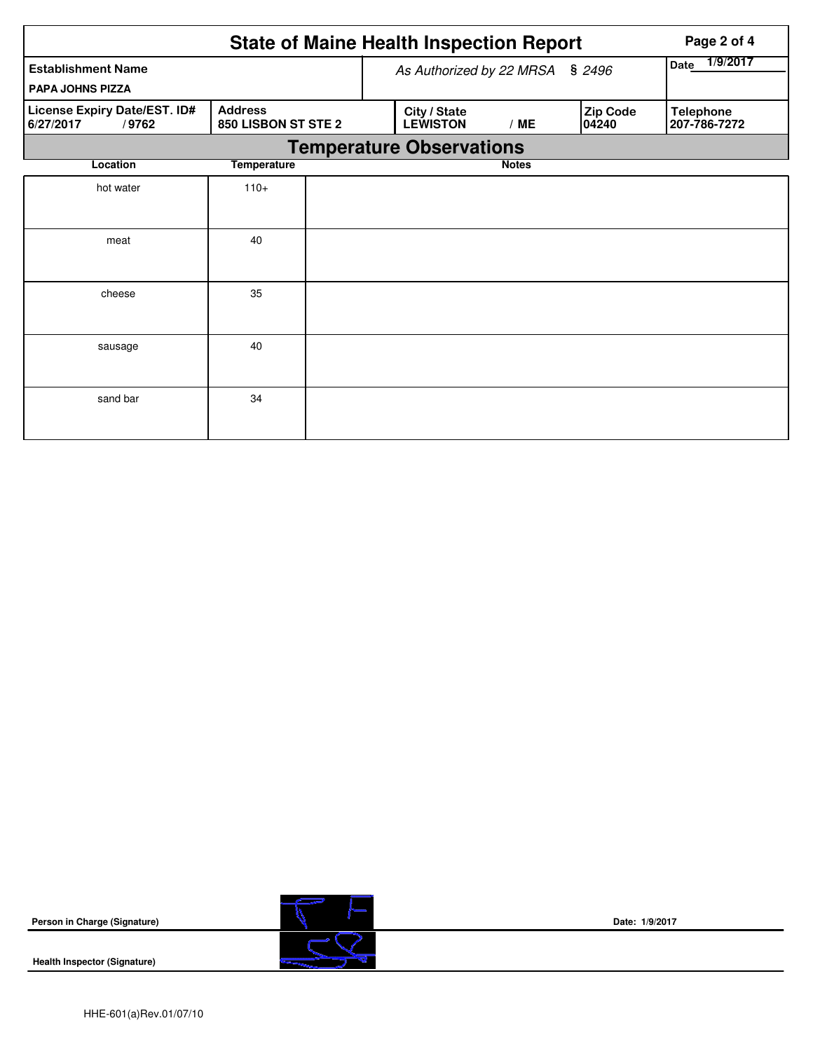|                                                    | Page 2 of 4                           |                         |                                        |              |                   |                                  |  |  |  |  |  |
|----------------------------------------------------|---------------------------------------|-------------------------|----------------------------------------|--------------|-------------------|----------------------------------|--|--|--|--|--|
| <b>Establishment Name</b>                          | As Authorized by 22 MRSA § 2496       | 1/9/2017<br><b>Date</b> |                                        |              |                   |                                  |  |  |  |  |  |
| <b>PAPA JOHNS PIZZA</b>                            |                                       |                         |                                        |              |                   |                                  |  |  |  |  |  |
| License Expiry Date/EST. ID#<br>6/27/2017<br>/9762 | <b>Address</b><br>850 LISBON ST STE 2 |                         | City / State<br><b>LEWISTON</b><br>/ME |              | Zip Code<br>04240 | <b>Telephone</b><br>207-786-7272 |  |  |  |  |  |
|                                                    | <b>Temperature Observations</b>       |                         |                                        |              |                   |                                  |  |  |  |  |  |
| Location                                           | <b>Temperature</b>                    |                         |                                        | <b>Notes</b> |                   |                                  |  |  |  |  |  |
| hot water                                          | $110+$                                |                         |                                        |              |                   |                                  |  |  |  |  |  |
|                                                    |                                       |                         |                                        |              |                   |                                  |  |  |  |  |  |
| meat                                               | 40                                    |                         |                                        |              |                   |                                  |  |  |  |  |  |
|                                                    |                                       |                         |                                        |              |                   |                                  |  |  |  |  |  |
| cheese                                             | 35                                    |                         |                                        |              |                   |                                  |  |  |  |  |  |
|                                                    |                                       |                         |                                        |              |                   |                                  |  |  |  |  |  |
| sausage                                            | 40                                    |                         |                                        |              |                   |                                  |  |  |  |  |  |
|                                                    |                                       |                         |                                        |              |                   |                                  |  |  |  |  |  |
| sand bar                                           | 34                                    |                         |                                        |              |                   |                                  |  |  |  |  |  |
|                                                    |                                       |                         |                                        |              |                   |                                  |  |  |  |  |  |

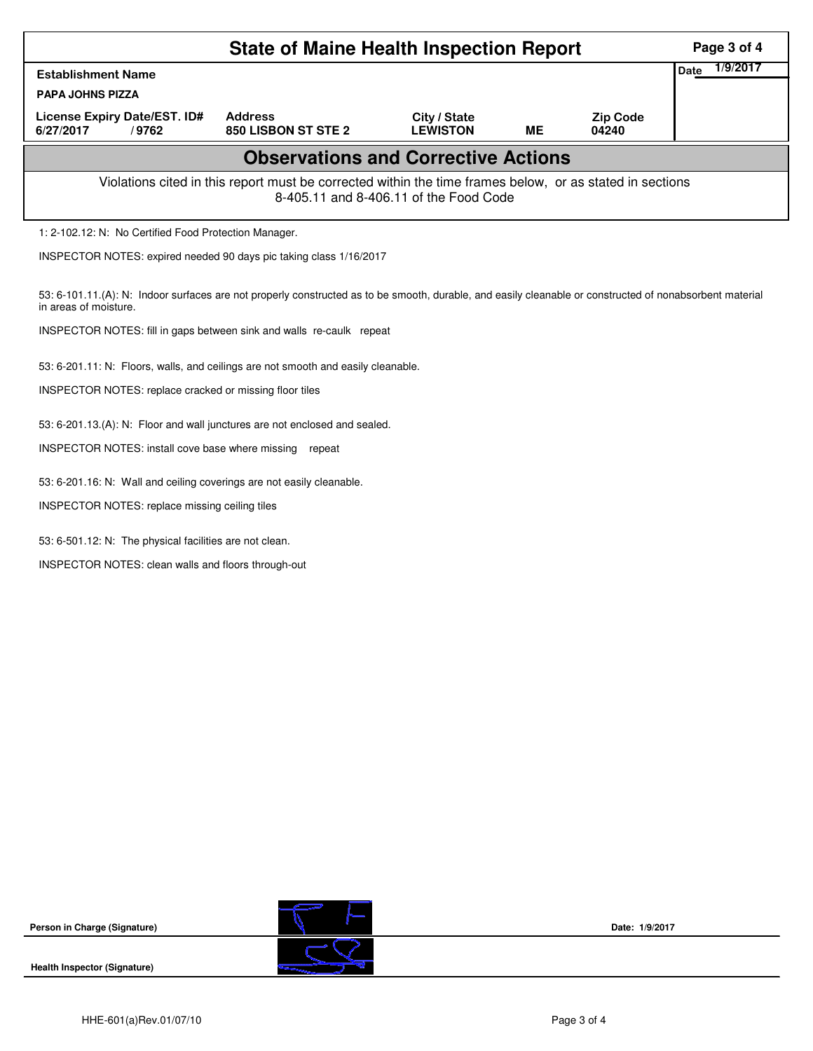|                                                                                                                                                                                   |                                                                            |                                 |    |                          | Page 3 of 4             |  |  |  |  |
|-----------------------------------------------------------------------------------------------------------------------------------------------------------------------------------|----------------------------------------------------------------------------|---------------------------------|----|--------------------------|-------------------------|--|--|--|--|
| <b>State of Maine Health Inspection Report</b>                                                                                                                                    |                                                                            |                                 |    |                          |                         |  |  |  |  |
| <b>Establishment Name</b>                                                                                                                                                         |                                                                            |                                 |    |                          | 1/9/2017<br><b>Date</b> |  |  |  |  |
| <b>PAPA JOHNS PIZZA</b>                                                                                                                                                           |                                                                            |                                 |    |                          |                         |  |  |  |  |
| License Expiry Date/EST. ID#<br>/9762<br>6/27/2017                                                                                                                                | <b>Address</b><br>850 LISBON ST STE 2                                      | City / State<br><b>LEWISTON</b> | ME | <b>Zip Code</b><br>04240 |                         |  |  |  |  |
| <b>Observations and Corrective Actions</b>                                                                                                                                        |                                                                            |                                 |    |                          |                         |  |  |  |  |
| Violations cited in this report must be corrected within the time frames below, or as stated in sections<br>8-405.11 and 8-406.11 of the Food Code                                |                                                                            |                                 |    |                          |                         |  |  |  |  |
| 1: 2-102.12: N: No Certified Food Protection Manager.                                                                                                                             |                                                                            |                                 |    |                          |                         |  |  |  |  |
| INSPECTOR NOTES: expired needed 90 days pic taking class 1/16/2017                                                                                                                |                                                                            |                                 |    |                          |                         |  |  |  |  |
| 53: 6-101.11.(A): N: Indoor surfaces are not properly constructed as to be smooth, durable, and easily cleanable or constructed of nonabsorbent material<br>in areas of moisture. |                                                                            |                                 |    |                          |                         |  |  |  |  |
| INSPECTOR NOTES: fill in gaps between sink and walls re-caulk repeat                                                                                                              |                                                                            |                                 |    |                          |                         |  |  |  |  |
| 53: 6-201.11: N: Floors, walls, and ceilings are not smooth and easily cleanable.                                                                                                 |                                                                            |                                 |    |                          |                         |  |  |  |  |
| INSPECTOR NOTES: replace cracked or missing floor tiles                                                                                                                           |                                                                            |                                 |    |                          |                         |  |  |  |  |
|                                                                                                                                                                                   | 53: 6-201.13.(A): N: Floor and wall junctures are not enclosed and sealed. |                                 |    |                          |                         |  |  |  |  |
| INSPECTOR NOTES: install cove base where missing                                                                                                                                  | repeat                                                                     |                                 |    |                          |                         |  |  |  |  |
| 53: 6-201.16: N: Wall and ceiling coverings are not easily cleanable.                                                                                                             |                                                                            |                                 |    |                          |                         |  |  |  |  |
| INSPECTOR NOTES: replace missing ceiling tiles                                                                                                                                    |                                                                            |                                 |    |                          |                         |  |  |  |  |
| 53: 6-501.12: N: The physical facilities are not clean.                                                                                                                           |                                                                            |                                 |    |                          |                         |  |  |  |  |
| INSPECTOR NOTES: clean walls and floors through-out                                                                                                                               |                                                                            |                                 |    |                          |                         |  |  |  |  |
|                                                                                                                                                                                   |                                                                            |                                 |    |                          |                         |  |  |  |  |
|                                                                                                                                                                                   |                                                                            |                                 |    |                          |                         |  |  |  |  |
|                                                                                                                                                                                   |                                                                            |                                 |    |                          |                         |  |  |  |  |
|                                                                                                                                                                                   |                                                                            |                                 |    |                          |                         |  |  |  |  |
|                                                                                                                                                                                   |                                                                            |                                 |    |                          |                         |  |  |  |  |
|                                                                                                                                                                                   |                                                                            |                                 |    |                          |                         |  |  |  |  |



**Health Inspector (Signature)** 

C

**Date: 1/9/2017**